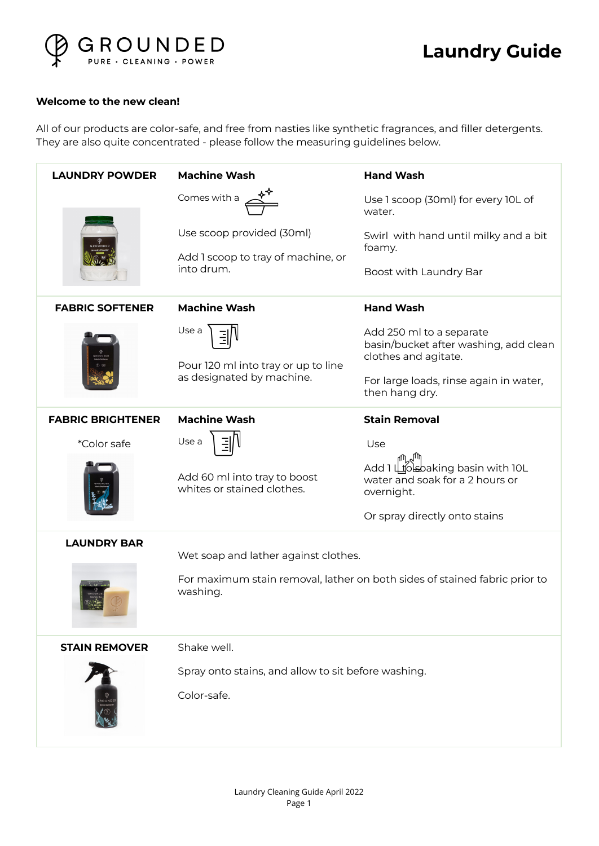

## **Laundry Guide**

## **Welcome to the new clean!**

All of our products are color-safe, and free from nasties like synthetic fragrances, and filler detergents. They are also quite concentrated - please follow the measuring guidelines below.

| <b>LAUNDRY POWDER</b>    | <b>Machine Wash</b>                                                       | <b>Hand Wash</b>                                                                                                                    |
|--------------------------|---------------------------------------------------------------------------|-------------------------------------------------------------------------------------------------------------------------------------|
|                          | Comes with a                                                              | Use 1 scoop (30ml) for every 10L of<br>water.                                                                                       |
|                          | Use scoop provided (30ml)<br>Add 1 scoop to tray of machine, or           | Swirl with hand until milky and a bit<br>foamy.                                                                                     |
|                          | into drum.                                                                | Boost with Laundry Bar                                                                                                              |
| <b>FABRIC SOFTENER</b>   | <b>Machine Wash</b>                                                       | <b>Hand Wash</b>                                                                                                                    |
|                          | Use a<br>Pour 120 ml into tray or up to line<br>as designated by machine. | Add 250 ml to a separate<br>basin/bucket after washing, add clean<br>clothes and agitate.<br>For large loads, rinse again in water, |
|                          |                                                                           | then hang dry.                                                                                                                      |
| <b>FABRIC BRIGHTENER</b> | <b>Machine Wash</b>                                                       | <b>Stain Removal</b>                                                                                                                |
| *Color safe              | Use a                                                                     | Use                                                                                                                                 |
|                          | Add 60 ml into tray to boost<br>whites or stained clothes.                | Add 1 Ltosbaking basin with 10L<br>water and soak for a 2 hours or<br>overnight.                                                    |
|                          |                                                                           | Or spray directly onto stains                                                                                                       |
| <b>LAUNDRY BAR</b>       | Wet soap and lather against clothes.                                      |                                                                                                                                     |
|                          | washing.                                                                  | For maximum stain removal, lather on both sides of stained fabric prior to                                                          |
| <b>STAIN REMOVER</b>     | Shake well.                                                               |                                                                                                                                     |
|                          | Spray onto stains, and allow to sit before washing.                       |                                                                                                                                     |
|                          | Color-safe.                                                               |                                                                                                                                     |